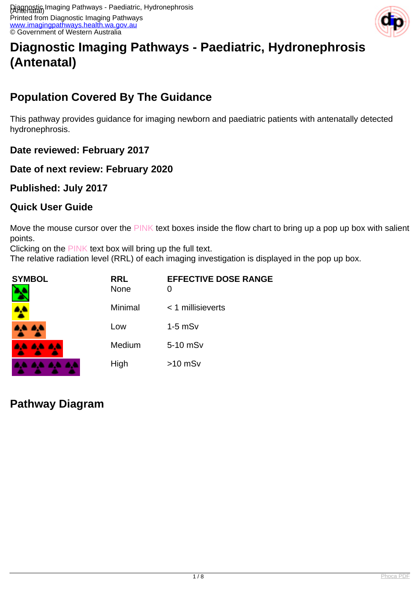

# **Diagnostic Imaging Pathways - Paediatric, Hydronephrosis (Antenatal)**

## **Population Covered By The Guidance**

This pathway provides guidance for imaging newborn and paediatric patients with antenatally detected hydronephrosis.

**Date reviewed: February 2017**

#### **Date of next review: February 2020**

#### **Published: July 2017**

#### **Quick User Guide**

Move the mouse cursor over the PINK text boxes inside the flow chart to bring up a pop up box with salient points.

Clicking on the PINK text box will bring up the full text.

The relative radiation level (RRL) of each imaging investigation is displayed in the pop up box.

| <b>SYMBOL</b> | <b>RRL</b><br>None | <b>EFFECTIVE DOSE RANGE</b><br>O |
|---------------|--------------------|----------------------------------|
|               | Minimal            | $<$ 1 millisieverts              |
| فالمراد       | Low                | $1-5$ mS $v$                     |
| 4444          | Medium             | 5-10 mSv                         |
|               | High               | $>10$ mSv                        |

## **Pathway Diagram**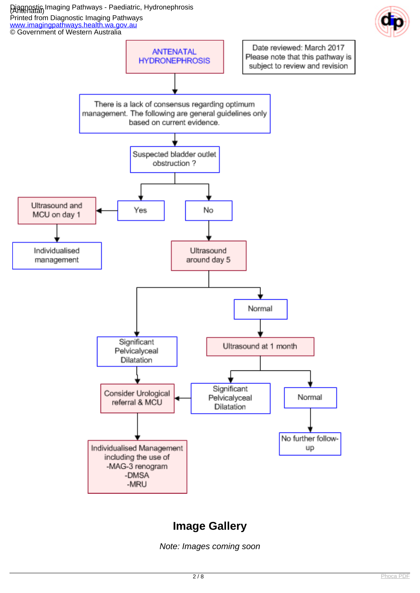#### Diagnostic Imaging Pathways - Paediatric, Hydronephrosis (Antenatal) Printed from Diagnostic Imaging Pathways [www.imagingpathways.health.wa.gov.au](http://www.imagingpathways.health.wa.gov.au/)





## **Image Gallery**

Note: Images coming soon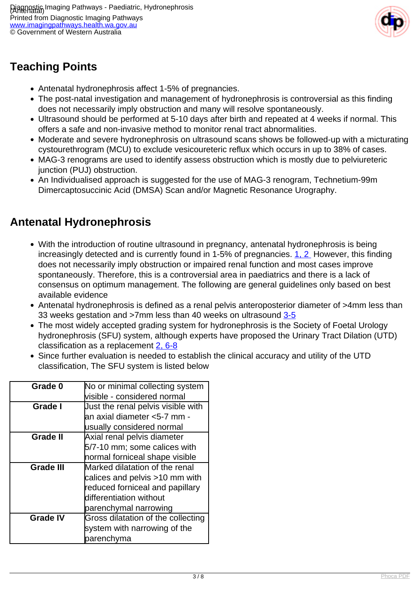

## **Teaching Points**

- Antenatal hydronephrosis affect 1-5% of pregnancies.
- The post-natal investigation and management of hydronephrosis is controversial as this finding does not necessarily imply obstruction and many will resolve spontaneously.
- Ultrasound should be performed at 5-10 days after birth and repeated at 4 weeks if normal. This offers a safe and non-invasive method to monitor renal tract abnormalities.
- Moderate and severe hydronephrosis on ultrasound scans shows be followed-up with a micturating cystourethrogram (MCU) to exclude vesicoureteric reflux which occurs in up to 38% of cases.
- MAG-3 renograms are used to identify assess obstruction which is mostly due to pelviureteric junction (PUJ) obstruction.
- An Individualised approach is suggested for the use of MAG-3 renogram, Technetium-99m Dimercaptosuccinic Acid (DMSA) Scan and/or Magnetic Resonance Urography.

## **Antenatal Hydronephrosis**

- With the introduction of routine ultrasound in pregnancy, antenatal hydronephrosis is being increasingly detected and is currently found in 1-5% of pregnancies. [1, 2](index.php/imaging-pathways/obstetric-gynaecological/antenatal-hydronephrosis?tab=References#1) However, this finding does not necessarily imply obstruction or impaired renal function and most cases improve spontaneously. Therefore, this is a controversial area in paediatrics and there is a lack of consensus on optimum management. The following are general guidelines only based on best available evidence
- Antenatal hydronephrosis is defined as a renal pelvis anteroposterior diameter of >4mm less than 33 weeks gestation and >7mm less than 40 weeks on ultrasound [3-5](index.php/imaging-pathways/obstetric-gynaecological/antenatal-hydronephrosis?tab=References#3)
- The most widely accepted grading system for hydronephrosis is the Society of Foetal Urology hydronephrosis (SFU) system, although experts have proposed the Urinary Tract Dilation (UTD) classification as a replacement [2,](index.php/imaging-pathways/obstetric-gynaecological/antenatal-hydronephrosis?tab=References#2) [6-8](index.php/imaging-pathways/obstetric-gynaecological/antenatal-hydronephrosis?tab=References#6)
- Since further evaluation is needed to establish the clinical accuracy and utility of the UTD classification, The SFU system is listed below

| Grade 0          | No or minimal collecting system    |  |
|------------------|------------------------------------|--|
|                  | visible - considered normal        |  |
| Grade I          | Uust the renal pelvis visible with |  |
|                  | an axial diameter <5-7 mm -        |  |
|                  | usually considered normal          |  |
| <b>Grade II</b>  | Axial renal pelvis diameter        |  |
|                  | 5/7-10 mm; some calices with       |  |
|                  | normal forniceal shape visible     |  |
| <b>Grade III</b> | Marked dilatation of the renal     |  |
|                  | calices and pelvis >10 mm with     |  |
|                  | reduced forniceal and papillary    |  |
|                  | differentiation without            |  |
|                  | parenchymal narrowing              |  |
| <b>Grade IV</b>  | Gross dilatation of the collecting |  |
|                  | system with narrowing of the       |  |
|                  | parenchyma                         |  |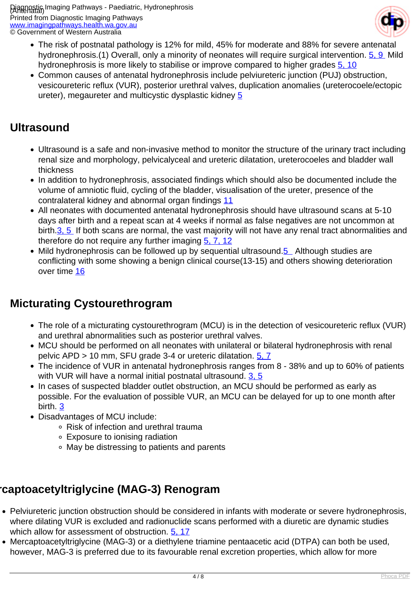

- The risk of postnatal pathology is 12% for mild, 45% for moderate and 88% for severe antenatal hydronephrosis.(1) Overall, only a minority of neonates will require surgical intervention. [5, 9](index.php/imaging-pathways/obstetric-gynaecological/antenatal-hydronephrosis?tab=References#5) Mild hydronephrosis is more likely to stabilise or improve compared to higher grades [5, 10](index.php/imaging-pathways/obstetric-gynaecological/antenatal-hydronephrosis?tab=References#5)
- Common causes of antenatal hydronephrosis include pelviureteric junction (PUJ) obstruction, vesicoureteric reflux (VUR), posterior urethral valves, duplication anomalies (ureterocoele/ectopic ureter), megaureter and multicystic dysplastic kidney [5](index.php/imaging-pathways/obstetric-gynaecological/antenatal-hydronephrosis?tab=References#5)

### **Ultrasound**

- Ultrasound is a safe and non-invasive method to monitor the structure of the urinary tract including renal size and morphology, pelvicalyceal and ureteric dilatation, ureterocoeles and bladder wall thickness
- In addition to hydronephrosis, associated findings which should also be documented include the volume of amniotic fluid, cycling of the bladder, visualisation of the ureter, presence of the contralateral kidney and abnormal organ findings [11](index.php/imaging-pathways/obstetric-gynaecological/antenatal-hydronephrosis?tab=References#11)
- All neonates with documented antenatal hydronephrosis should have ultrasound scans at 5-10 days after birth and a repeat scan at 4 weeks if normal as false negatives are not uncommon at birth.[3, 5](index.php/imaging-pathways/obstetric-gynaecological/antenatal-hydronephrosis?tab=References#3) If both scans are normal, the vast majority will not have any renal tract abnormalities and therefore do not require any further imaging  $5, 7, 12$  $5, 7, 12$
- Mild hydronephrosis can be followed up by sequential ultrasound.[5](index.php/imaging-pathways/obstetric-gynaecological/antenatal-hydronephrosis?tab=References#5) Although studies are conflicting with some showing a benign clinical course(13-15) and others showing deterioration over time [16](index.php/imaging-pathways/obstetric-gynaecological/antenatal-hydronephrosis?tab=References#16)

## **Micturating Cystourethrogram**

- The role of a micturating cystourethrogram (MCU) is in the detection of vesicoureteric reflux (VUR) and urethral abnormalities such as posterior urethral valves.
- MCU should be performed on all neonates with unilateral or bilateral hydronephrosis with renal pelvic APD > 10 mm, SFU grade 3-4 or ureteric dilatation. [5, 7](index.php/imaging-pathways/obstetric-gynaecological/antenatal-hydronephrosis?tab=References#5)
- The incidence of VUR in antenatal hydronephrosis ranges from 8 38% and up to 60% of patients with VUR will have a normal initial postnatal ultrasound. [3, 5](index.php/imaging-pathways/obstetric-gynaecological/antenatal-hydronephrosis?tab=References#3)
- In cases of suspected bladder outlet obstruction, an MCU should be performed as early as possible. For the evaluation of possible VUR, an MCU can be delayed for up to one month after birth. [3](index.php/imaging-pathways/obstetric-gynaecological/antenatal-hydronephrosis?tab=References#3)
- Disadvantages of MCU include:
	- Risk of infection and urethral trauma
	- Exposure to ionising radiation
	- May be distressing to patients and parents

## **Mercaptoacetyltriglycine (MAG-3) Renogram**

- Pelviureteric junction obstruction should be considered in infants with moderate or severe hydronephrosis, where dilating VUR is excluded and radionuclide scans performed with a diuretic are dynamic studies which allow for assessment of obstruction. [5,](index.php/imaging-pathways/obstetric-gynaecological/antenatal-hydronephrosis?tab=References#5) [17](index.php/imaging-pathways/obstetric-gynaecological/antenatal-hydronephrosis?tab=References#17)
- Mercaptoacetyltriglycine (MAG-3) or a diethylene triamine pentaacetic acid (DTPA) can both be used, however, MAG-3 is preferred due to its favourable renal excretion properties, which allow for more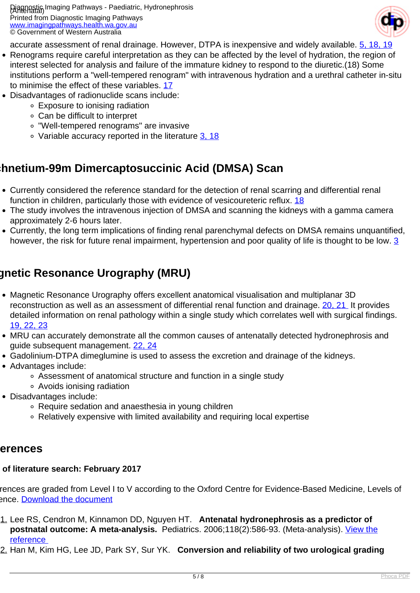Diagnostic Imaging Pathways - Paediatric, Hydronephrosis (Antenatal) Printed from Diagnostic Imaging Pathways [www.imagingpathways.health.wa.gov.au](http://www.imagingpathways.health.wa.gov.au/) © Government of Western Australia



accurate assessment of renal drainage. However, DTPA is inexpensive and widely available. [5,](index.php/imaging-pathways/obstetric-gynaecological/antenatal-hydronephrosis?tab=References#5) [18, 19](index.php/imaging-pathways/obstetric-gynaecological/antenatal-hydronephrosis?tab=References#18)

- Renograms require careful interpretation as they can be affected by the level of hydration, the region of interest selected for analysis and failure of the immature kidney to respond to the diuretic.(18) Some institutions perform a "well-tempered renogram" with intravenous hydration and a urethral catheter in-situ to minimise the effect of these variables. [17](index.php/imaging-pathways/obstetric-gynaecological/antenatal-hydronephrosis?tab=References#17)
- Disadvantages of radionuclide scans include:
	- Exposure to ionising radiation
	- Can be difficult to interpret
	- "Well-tempered renograms" are invasive
	- Variable accuracy reported in the literature [3,](index.php/imaging-pathways/obstetric-gynaecological/antenatal-hydronephrosis?tab=References#3) [18](index.php/imaging-pathways/obstetric-gynaecological/antenatal-hydronephrosis?tab=References#18)

### **Technetium-99m Dimercaptosuccinic Acid (DMSA) Scan**

- Currently considered the reference standard for the detection of renal scarring and differential renal function in children, particularly those with evidence of vesicoureteric reflux. [18](index.php/imaging-pathways/obstetric-gynaecological/antenatal-hydronephrosis?tab=References#18)
- The study involves the intravenous injection of DMSA and scanning the kidneys with a gamma camera approximately 2-6 hours later.
- Currently, the long term implications of finding renal parenchymal defects on DMSA remains unquantified, however, the risk for future renal impairment, hypertension and poor quality of life is thought to be low. [3](index.php/imaging-pathways/obstetric-gynaecological/antenatal-hydronephrosis?tab=References#3)

## **Magnetic Resonance Urography (MRU)**

- Magnetic Resonance Urography offers excellent anatomical visualisation and multiplanar 3D reconstruction as well as an assessment of differential renal function and drainage. [20, 21](index.php/imaging-pathways/obstetric-gynaecological/antenatal-hydronephrosis?tab=References#20) It provides detailed information on renal pathology within a single study which correlates well with surgical findings. [19, 22, 23](index.php/imaging-pathways/obstetric-gynaecological/antenatal-hydronephrosis?tab=References#19)
- MRU can accurately demonstrate all the common causes of antenatally detected hydronephrosis and guide subsequent management. [22, 24](index.php/imaging-pathways/obstetric-gynaecological/antenatal-hydronephrosis?tab=References#22)
- Gadolinium-DTPA dimeglumine is used to assess the excretion and drainage of the kidneys.
- Advantages include:
	- Assessment of anatomical structure and function in a single study
	- Avoids ionising radiation
- Disadvantages include:
	- Require sedation and anaesthesia in young children
	- Relatively expensive with limited availability and requiring local expertise

#### **References**

#### of literature search: February 2017

rences are graded from Level I to V according to the Oxford Centre for Evidence-Based Medicine, Levels of ence. [Download the document](http://www.cebm.net/wp-content/uploads/2014/06/CEBM-Levels-of-Evidence-2.1.pdf)

- 1. Lee RS, Cendron M, Kinnamon DD, Nguyen HT. **Antenatal hydronephrosis as a predictor of postnatal outcome: A meta-analysis.** Pediatrics. 2006;118(2):586-93. (Meta-analysis). [View the](https://www.ncbi.nlm.nih.gov/pubmed/16882811 ) [reference](https://www.ncbi.nlm.nih.gov/pubmed/16882811 )
- 2. Han M, Kim HG, Lee JD, Park SY, Sur YK. **Conversion and reliability of two urological grading**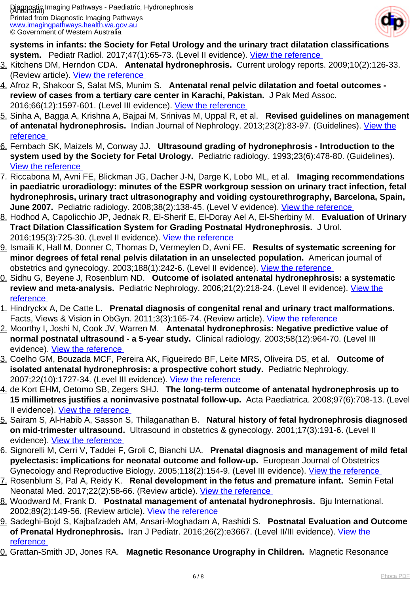

**systems in infants: the Society for Fetal Urology and the urinary tract dilatation classifications system.** Pediatr Radiol. 2017;47(1):65-73. (Level II evidence). View the reference

- 3. Kitchens DM, Herndon CDA. **Antenatal hydronephrosis.** Current urology reports. 2009;10(2):126-33. (Review article). [View the reference](https://www.ncbi.nlm.nih.gov/pubmed/19239817 )
- 4. Afroz R, Shakoor S, Salat MS, Munim S. **Antenatal renal pelvic dilatation and foetal outcomes review of cases from a tertiary care center in Karachi, Pakistan.** J Pak Med Assoc. 2016;66(12):1597-601. (Level III evidence). [View the reference](https://www.ncbi.nlm.nih.gov/pubmed/28179697 )
- 5. Sinha A, Bagga A, Krishna A, Bajpai M, Srinivas M, Uppal R, et al. **Revised guidelines on management of antenatal hydronephrosis.** Indian Journal of Nephrology. 2013;23(2):83-97. (Guidelines). [View the](https://www.ncbi.nlm.nih.gov/pmc/articles/PMC3658301/ ) [reference](https://www.ncbi.nlm.nih.gov/pmc/articles/PMC3658301/ )
- 6. Fernbach SK, Maizels M, Conway JJ. **Ultrasound grading of hydronephrosis Introduction to the system used by the Society for Fetal Urology.** Pediatric radiology. 1993;23(6):478-80. (Guidelines). [View the reference](https://www.ncbi.nlm.nih.gov/pubmed/8255658 )
- 7. Riccabona M, Avni FE, Blickman JG, Dacher J-N, Darge K, Lobo ML, et al. **Imaging recommendations in paediatric uroradiology: minutes of the ESPR workgroup session on urinary tract infection, fetal hydronephrosis, urinary tract ultrasonography and voiding cystourethrography, Barcelona, Spain, June 2007.** Pediatric radiology. 2008;38(2):138-45. (Level V evidence). [View the reference](https://www.ncbi.nlm.nih.gov/pubmed/18071685 )
- 8. Hodhod A, Capolicchio JP, Jednak R, El-Sherif E, El-Doray Ael A, El-Sherbiny M. **Evaluation of Urinary Tract Dilation Classification System for Grading Postnatal Hydronephrosis.** J Urol. 2016;195(3):725-30. (Level II evidence). [View the reference](https://www.ncbi.nlm.nih.gov/pubmed/26527513 )
- 9. Ismaili K, Hall M, Donner C, Thomas D, Vermeylen D, Avni FE. **Results of systematic screening for minor degrees of fetal renal pelvis dilatation in an unselected population.** American journal of obstetrics and gynecology. 2003;188(1):242-6. (Level II evidence). [View the reference](https://www.ncbi.nlm.nih.gov/pubmed/12548224 )
- 10. Sidhu G, Beyene J, Rosenblum ND. **Outcome of isolated antenatal hydronephrosis: a systematic** review and meta-analysis. Pediatric Nephrology. 2006;21(2):218-24. (Level II evidence). *View the* [reference](https://www.ncbi.nlm.nih.gov/pubmed/16362721 )
- 1. Hindryckx A, De Catte L. Prenatal diagnosis of congenital renal and urinary tract malformations. Facts, Views & Vision in ObGyn. 2011;3(3):165-74. (Review article). View the reference
- 12. Moorthy I, Joshi N, Cook JV, Warren M. **Antenatal hydronephrosis: Negative predictive value of normal postnatal ultrasound - a 5-year study.** Clinical radiology. 2003;58(12):964-70. (Level III evidence). View the reference
- 13. Coelho GM, Bouzada MCF, Pereira AK, Figueiredo BF, Leite MRS, Oliveira DS, et al. **Outcome of isolated antenatal hydronephrosis: a prospective cohort study.** Pediatric Nephrology. 2007;22(10):1727-34. (Level III evidence). View the reference
- 14. de Kort EHM, Oetomo SB, Zegers SHJ. **The long-term outcome of antenatal hydronephrosis up to 15 millimetres justifies a noninvasive postnatal follow-up.** Acta Paediatrica. 2008;97(6):708-13. (Level II evidence). [View the reference](https://www.ncbi.nlm.nih.gov/pubmed/18410468 )
- 15. Sairam S, Al-Habib A, Sasson S, Thilaganathan B. **Natural history of fetal hydronephrosis diagnosed on mid-trimester ultrasound.** Ultrasound in obstetrics & gynecology. 2001;17(3):191-6. (Level II evidence). [View the reference](https://www.ncbi.nlm.nih.gov/pubmed/11309166 )
- 16. Signorelli M, Cerri V, Taddei F, Groli C, Bianchi UA. **Prenatal diagnosis and management of mild fetal pyelectasis: implications for neonatal outcome and follow-up.** European Journal of Obstetrics Gynecology and Reproductive Biology. 2005;118(2):154-9. (Level III evidence). View the reference
- 17. Rosenblum S, Pal A, Reidy K. **Renal development in the fetus and premature infant.** Semin Fetal Neonatal Med. 2017;22(2):58-66. (Review article). [View the reference](https://www.ncbi.nlm.nih.gov/pubmed/28161315 )
- 18. Woodward M, Frank D. **Postnatal management of antenatal hydronephrosis.** Bju International. 2002;89(2):149-56. (Review article). View the reference
- 19. Sadeghi-Bojd S, Kajbafzadeh AM, Ansari-Moghadam A, Rashidi S. **Postnatal Evaluation and Outcome of Prenatal Hydronephrosis.** Iran J Pediatr. 2016;26(2):e3667. (Level II/III evidence). [View the](https://www.ncbi.nlm.nih.gov/pubmed/27307966 ) [reference](https://www.ncbi.nlm.nih.gov/pubmed/27307966 )
- **0. Grattan-Smith JD, Jones RA. Magnetic Resonance Urography in Children.** Magnetic Resonance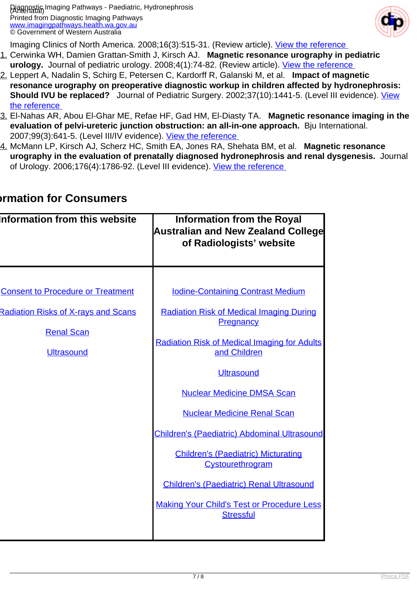

Imaging Clinics of North America. 2008;16(3):515-31. (Review article). View the reference

- 21. Cerwinka WH, Damien Grattan-Smith J, Kirsch AJ. **Magnetic resonance urography in pediatric** urology. Journal of pediatric urology. 2008;4(1):74-82. (Review article). View the reference
- 22. Leppert A, Nadalin S, Schirg E, Petersen C, Kardorff R, Galanski M, et al. **Impact of magnetic resonance urography on preoperative diagnostic workup in children affected by hydronephrosis: Should IVU be replaced?** Journal of Pediatric Surgery. 2002;37(10):1441-5. (Level III evidence). [View](https://www.ncbi.nlm.nih.gov/pubmed/12378450 ) [the reference](https://www.ncbi.nlm.nih.gov/pubmed/12378450 )
- 23. El-Nahas AR, Abou El-Ghar ME, Refae HF, Gad HM, El-Diasty TA. **Magnetic resonance imaging in the evaluation of pelvi-ureteric junction obstruction: an all-in-one approach.** Bju International. 2007;99(3):641-5. (Level III/IV evidence). [View the reference](https://www.ncbi.nlm.nih.gov/pubmed/17407519 )
- 24. McMann LP, Kirsch AJ, Scherz HC, Smith EA, Jones RA, Shehata BM, et al. **Magnetic resonance urography in the evaluation of prenatally diagnosed hydronephrosis and renal dysgenesis.** Journal of Urology. 2006;176(4):1786-92. (Level III evidence). [View the reference](https://www.ncbi.nlm.nih.gov/pubmed/16945650 )

| Information from this website                                                                                                    | <b>Information from the Royal</b><br><b>Australian and New Zealand College</b><br>of Radiologists' website                                                                                                                                                                                                                                                                                                                                                                                                                           |
|----------------------------------------------------------------------------------------------------------------------------------|--------------------------------------------------------------------------------------------------------------------------------------------------------------------------------------------------------------------------------------------------------------------------------------------------------------------------------------------------------------------------------------------------------------------------------------------------------------------------------------------------------------------------------------|
| <b>Consent to Procedure or Treatment</b><br><b>Radiation Risks of X-rays and Scans</b><br><b>Renal Scan</b><br><b>Ultrasound</b> | <b>Iodine-Containing Contrast Medium</b><br><b>Radiation Risk of Medical Imaging During</b><br>Pregnancy<br><b>Radiation Risk of Medical Imaging for Adults</b><br>and Children<br><b>Ultrasound</b><br><b>Nuclear Medicine DMSA Scan</b><br><b>Nuclear Medicine Renal Scan</b><br><b>Children's (Paediatric) Abdominal Ultrasound</b><br><b>Children's (Paediatric) Micturating</b><br>Cystourethrogram<br><b>Children's (Paediatric) Renal Ultrasound</b><br><b>Making Your Child's Test or Procedure Less</b><br><b>Stressful</b> |
|                                                                                                                                  |                                                                                                                                                                                                                                                                                                                                                                                                                                                                                                                                      |

### **Information for Consumers**